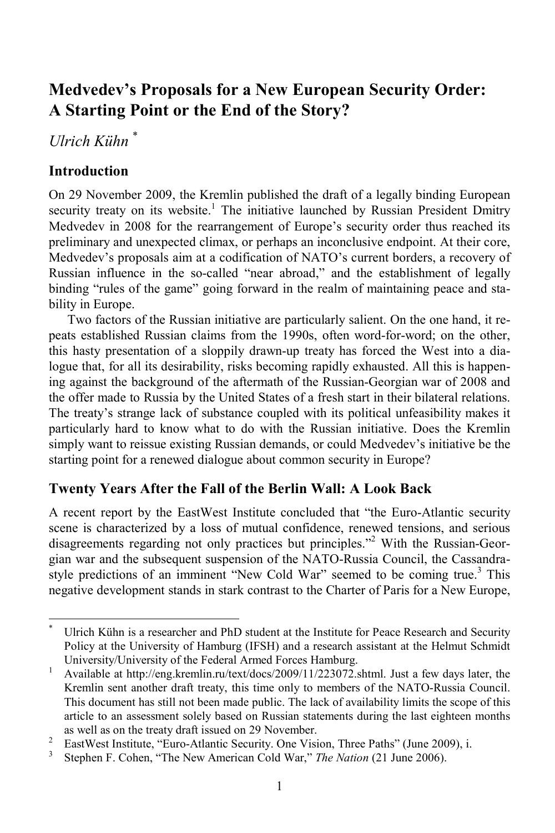# **Medvedev's Proposals for a New European Security Order: A Starting Point or the End of the Story?**

# *Ulrich Kühn* \*

## **Introduction**

 $\overline{a}$ 

On 29 November 2009, the Kremlin published the draft of a legally binding European security treaty on its website.<sup>1</sup> The initiative launched by Russian President Dmitry Medvedev in 2008 for the rearrangement of Europe's security order thus reached its preliminary and unexpected climax, or perhaps an inconclusive endpoint. At their core, Medvedev's proposals aim at a codification of NATO's current borders, a recovery of Russian influence in the so-called "near abroad," and the establishment of legally binding "rules of the game" going forward in the realm of maintaining peace and stability in Europe.

Two factors of the Russian initiative are particularly salient. On the one hand, it repeats established Russian claims from the 1990s, often word-for-word; on the other, this hasty presentation of a sloppily drawn-up treaty has forced the West into a dialogue that, for all its desirability, risks becoming rapidly exhausted. All this is happening against the background of the aftermath of the Russian-Georgian war of 2008 and the offer made to Russia by the United States of a fresh start in their bilateral relations. The treaty's strange lack of substance coupled with its political unfeasibility makes it particularly hard to know what to do with the Russian initiative. Does the Kremlin simply want to reissue existing Russian demands, or could Medvedev's initiative be the starting point for a renewed dialogue about common security in Europe?

## **Twenty Years After the Fall of the Berlin Wall: A Look Back**

A recent report by the EastWest Institute concluded that "the Euro-Atlantic security scene is characterized by a loss of mutual confidence, renewed tensions, and serious disagreements regarding not only practices but principles."2 With the Russian-Georgian war and the subsequent suspension of the NATO-Russia Council, the Cassandrastyle predictions of an imminent "New Cold War" seemed to be coming true.<sup>3</sup> This negative development stands in stark contrast to the Charter of Paris for a New Europe,

<sup>\*</sup> Ulrich Kühn is a researcher and PhD student at the Institute for Peace Research and Security Policy at the University of Hamburg (IFSH) and a research assistant at the Helmut Schmidt University/University of the Federal Armed Forces Hamburg.<br> $\frac{1}{2}$  Available at http://ong.kromlin.pu/toxt/doos/2000/11/222072.

Available at http://eng.kremlin.ru/text/docs/2009/11/223072.shtml. Just a few days later, the Kremlin sent another draft treaty, this time only to members of the NATO-Russia Council. This document has still not been made public. The lack of availability limits the scope of this article to an assessment solely based on Russian statements during the last eighteen months as well as on the treaty draft issued on 29 November.<br> $\frac{2}{3}$  EastWest Institute "Euro Atlantic Sequrity One Visit

EastWest Institute, "Euro-Atlantic Security. One Vision, Three Paths" (June 2009), i.

<sup>3</sup> Stephen F. Cohen, "The New American Cold War," *The Nation* (21 June 2006).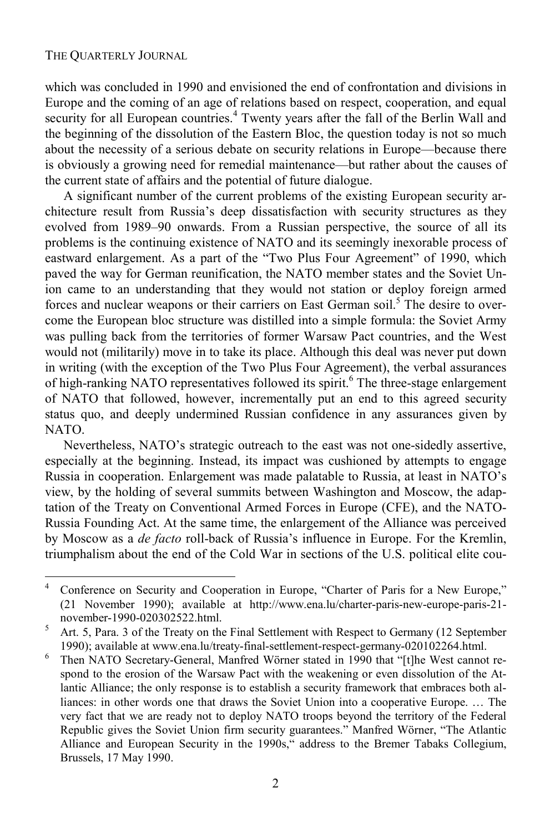l

which was concluded in 1990 and envisioned the end of confrontation and divisions in Europe and the coming of an age of relations based on respect, cooperation, and equal security for all European countries.<sup>4</sup> Twenty years after the fall of the Berlin Wall and the beginning of the dissolution of the Eastern Bloc, the question today is not so much about the necessity of a serious debate on security relations in Europe—because there is obviously a growing need for remedial maintenance—but rather about the causes of the current state of affairs and the potential of future dialogue.

A significant number of the current problems of the existing European security architecture result from Russia's deep dissatisfaction with security structures as they evolved from 1989–90 onwards. From a Russian perspective, the source of all its problems is the continuing existence of NATO and its seemingly inexorable process of eastward enlargement. As a part of the "Two Plus Four Agreement" of 1990, which paved the way for German reunification, the NATO member states and the Soviet Union came to an understanding that they would not station or deploy foreign armed forces and nuclear weapons or their carriers on East German soil.<sup>5</sup> The desire to overcome the European bloc structure was distilled into a simple formula: the Soviet Army was pulling back from the territories of former Warsaw Pact countries, and the West would not (militarily) move in to take its place. Although this deal was never put down in writing (with the exception of the Two Plus Four Agreement), the verbal assurances of high-ranking NATO representatives followed its spirit.<sup>6</sup> The three-stage enlargement of NATO that followed, however, incrementally put an end to this agreed security status quo, and deeply undermined Russian confidence in any assurances given by NATO.

Nevertheless, NATO's strategic outreach to the east was not one-sidedly assertive, especially at the beginning. Instead, its impact was cushioned by attempts to engage Russia in cooperation. Enlargement was made palatable to Russia, at least in NATO's view, by the holding of several summits between Washington and Moscow, the adaptation of the Treaty on Conventional Armed Forces in Europe (CFE), and the NATO-Russia Founding Act. At the same time, the enlargement of the Alliance was perceived by Moscow as a *de facto* roll-back of Russia's influence in Europe. For the Kremlin, triumphalism about the end of the Cold War in sections of the U.S. political elite cou-

<sup>4</sup> Conference on Security and Cooperation in Europe, "Charter of Paris for a New Europe," (21 November 1990); available at http://www.ena.lu/charter-paris-new-europe-paris-21 november-1990-020302522.html. 5

Art. 5, Para. 3 of the Treaty on the Final Settlement with Respect to Germany (12 September 1990); available at www.ena.lu/treaty-final-settlement-respect-germany-020102264.html.<br><sup>6</sup> Then NATO Secretary General Manfred Wörner stated in 1990 that "It he West cannot

Then NATO Secretary-General, Manfred Wörner stated in 1990 that "[t]he West cannot respond to the erosion of the Warsaw Pact with the weakening or even dissolution of the Atlantic Alliance; the only response is to establish a security framework that embraces both alliances: in other words one that draws the Soviet Union into a cooperative Europe. … The very fact that we are ready not to deploy NATO troops beyond the territory of the Federal Republic gives the Soviet Union firm security guarantees." Manfred Wörner, "The Atlantic Alliance and European Security in the 1990s," address to the Bremer Tabaks Collegium, Brussels, 17 May 1990.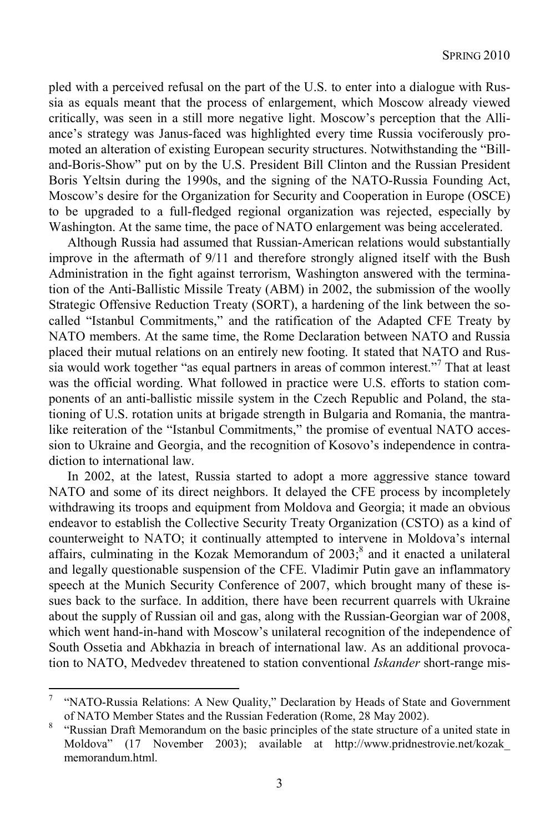pled with a perceived refusal on the part of the U.S. to enter into a dialogue with Russia as equals meant that the process of enlargement, which Moscow already viewed critically, was seen in a still more negative light. Moscow's perception that the Alliance's strategy was Janus-faced was highlighted every time Russia vociferously promoted an alteration of existing European security structures. Notwithstanding the "Billand-Boris-Show" put on by the U.S. President Bill Clinton and the Russian President Boris Yeltsin during the 1990s, and the signing of the NATO-Russia Founding Act, Moscow's desire for the Organization for Security and Cooperation in Europe (OSCE) to be upgraded to a full-fledged regional organization was rejected, especially by Washington. At the same time, the pace of NATO enlargement was being accelerated.

Although Russia had assumed that Russian-American relations would substantially improve in the aftermath of 9/11 and therefore strongly aligned itself with the Bush Administration in the fight against terrorism, Washington answered with the termination of the Anti-Ballistic Missile Treaty (ABM) in 2002, the submission of the woolly Strategic Offensive Reduction Treaty (SORT), a hardening of the link between the socalled "Istanbul Commitments," and the ratification of the Adapted CFE Treaty by NATO members. At the same time, the Rome Declaration between NATO and Russia placed their mutual relations on an entirely new footing. It stated that NATO and Russia would work together "as equal partners in areas of common interest."<sup>7</sup> That at least was the official wording. What followed in practice were U.S. efforts to station components of an anti-ballistic missile system in the Czech Republic and Poland, the stationing of U.S. rotation units at brigade strength in Bulgaria and Romania, the mantralike reiteration of the "Istanbul Commitments," the promise of eventual NATO accession to Ukraine and Georgia, and the recognition of Kosovo's independence in contradiction to international law.

In 2002, at the latest, Russia started to adopt a more aggressive stance toward NATO and some of its direct neighbors. It delayed the CFE process by incompletely withdrawing its troops and equipment from Moldova and Georgia; it made an obvious endeavor to establish the Collective Security Treaty Organization (CSTO) as a kind of counterweight to NATO; it continually attempted to intervene in Moldova's internal affairs, culminating in the Kozak Memorandum of  $2003$ <sup>8</sup>, and it enacted a unilateral and legally questionable suspension of the CFE. Vladimir Putin gave an inflammatory speech at the Munich Security Conference of 2007, which brought many of these issues back to the surface. In addition, there have been recurrent quarrels with Ukraine about the supply of Russian oil and gas, along with the Russian-Georgian war of 2008, which went hand-in-hand with Moscow's unilateral recognition of the independence of South Ossetia and Abkhazia in breach of international law. As an additional provocation to NATO, Medvedev threatened to station conventional *Iskander* short-range mis-

 $\overline{\phantom{a}}$ 

<sup>7</sup> "NATO-Russia Relations: A New Quality," Declaration by Heads of State and Government of NATO Member States and the Russian Federation (Rome, 28 May 2002).<br><sup>8</sup> "Bussian Draft Memorandum on the basic principles of the state structure of

 <sup>&</sup>quot;Russian Draft Memorandum on the basic principles of the state structure of a united state in Moldova" (17 November 2003); available at http://www.pridnestrovie.net/kozak\_ memorandum.html.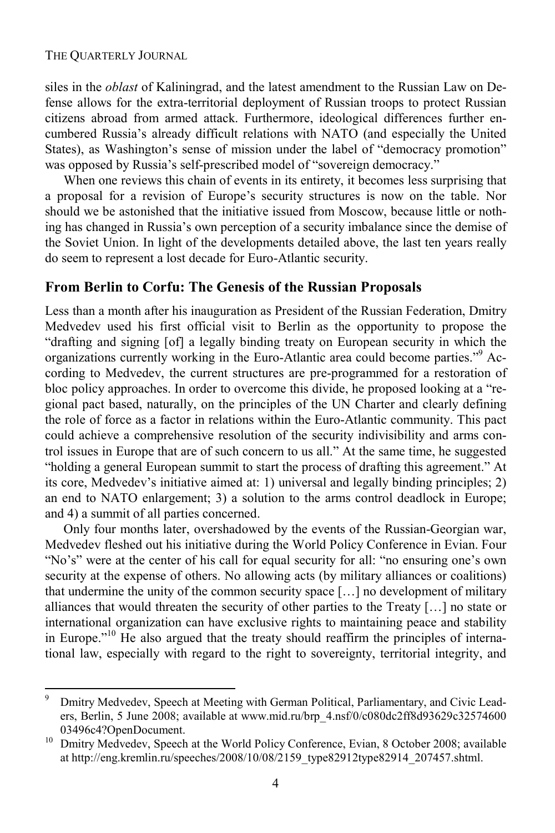l

siles in the *oblast* of Kaliningrad, and the latest amendment to the Russian Law on Defense allows for the extra-territorial deployment of Russian troops to protect Russian citizens abroad from armed attack. Furthermore, ideological differences further encumbered Russia's already difficult relations with NATO (and especially the United States), as Washington's sense of mission under the label of "democracy promotion" was opposed by Russia's self-prescribed model of "sovereign democracy."

When one reviews this chain of events in its entirety, it becomes less surprising that a proposal for a revision of Europe's security structures is now on the table. Nor should we be astonished that the initiative issued from Moscow, because little or nothing has changed in Russia's own perception of a security imbalance since the demise of the Soviet Union. In light of the developments detailed above, the last ten years really do seem to represent a lost decade for Euro-Atlantic security.

### **From Berlin to Corfu: The Genesis of the Russian Proposals**

Less than a month after his inauguration as President of the Russian Federation, Dmitry Medvedev used his first official visit to Berlin as the opportunity to propose the "drafting and signing [of] a legally binding treaty on European security in which the organizations currently working in the Euro-Atlantic area could become parties."<sup>9</sup> According to Medvedev, the current structures are pre-programmed for a restoration of bloc policy approaches. In order to overcome this divide, he proposed looking at a "regional pact based, naturally, on the principles of the UN Charter and clearly defining the role of force as a factor in relations within the Euro-Atlantic community. This pact could achieve a comprehensive resolution of the security indivisibility and arms control issues in Europe that are of such concern to us all." At the same time, he suggested "holding a general European summit to start the process of drafting this agreement." At its core, Medvedev's initiative aimed at: 1) universal and legally binding principles; 2) an end to NATO enlargement; 3) a solution to the arms control deadlock in Europe; and 4) a summit of all parties concerned.

Only four months later, overshadowed by the events of the Russian-Georgian war, Medvedev fleshed out his initiative during the World Policy Conference in Evian. Four "No's" were at the center of his call for equal security for all: "no ensuring one's own security at the expense of others. No allowing acts (by military alliances or coalitions) that undermine the unity of the common security space […] no development of military alliances that would threaten the security of other parties to the Treaty […] no state or international organization can have exclusive rights to maintaining peace and stability in Europe."10 He also argued that the treaty should reaffirm the principles of international law, especially with regard to the right to sovereignty, territorial integrity, and

<sup>9</sup> Dmitry Medvedev, Speech at Meeting with German Political, Parliamentary, and Civic Leaders, Berlin, 5 June 2008; available at www.mid.ru/brp\_4.nsf/0/c080dc2ff8d93629c32574600 03496c4?OpenDocument.<br><sup>10</sup> Dmitry Medvedev, Speech at the World Policy Conference, Evian, 8 October 2008; available

at http://eng.kremlin.ru/speeches/2008/10/08/2159\_type82912type82914\_207457.shtml.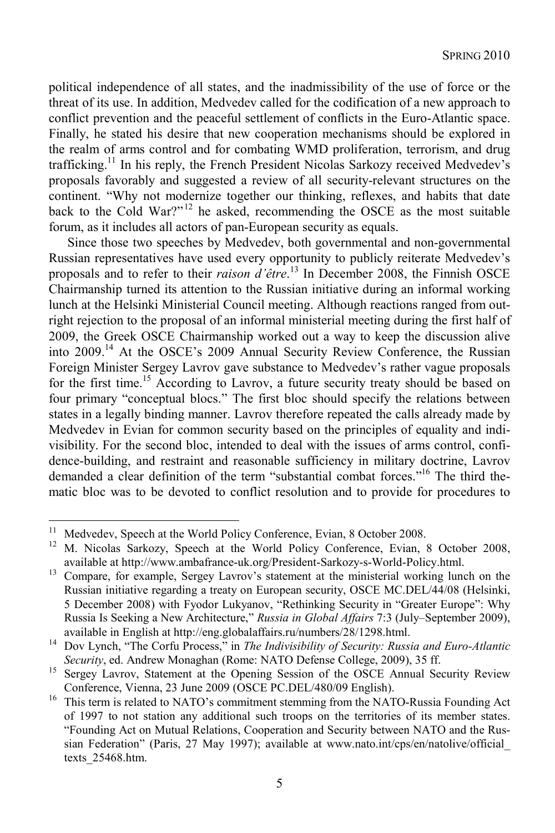political independence of all states, and the inadmissibility of the use of force or the threat of its use. In addition, Medvedev called for the codification of a new approach to conflict prevention and the peaceful settlement of conflicts in the Euro-Atlantic space. Finally, he stated his desire that new cooperation mechanisms should be explored in the realm of arms control and for combating WMD proliferation, terrorism, and drug trafficking.11 In his reply, the French President Nicolas Sarkozy received Medvedev's proposals favorably and suggested a review of all security-relevant structures on the continent. "Why not modernize together our thinking, reflexes, and habits that date back to the Cold War?"12 he asked, recommending the OSCE as the most suitable forum, as it includes all actors of pan-European security as equals.

Since those two speeches by Medvedev, both governmental and non-governmental Russian representatives have used every opportunity to publicly reiterate Medvedev's proposals and to refer to their *raison d'être*. 13 In December 2008, the Finnish OSCE Chairmanship turned its attention to the Russian initiative during an informal working lunch at the Helsinki Ministerial Council meeting. Although reactions ranged from outright rejection to the proposal of an informal ministerial meeting during the first half of 2009, the Greek OSCE Chairmanship worked out a way to keep the discussion alive into 2009.14 At the OSCE's 2009 Annual Security Review Conference, the Russian Foreign Minister Sergey Lavrov gave substance to Medvedev's rather vague proposals for the first time.<sup>15</sup> According to Lavrov, a future security treaty should be based on four primary "conceptual blocs." The first bloc should specify the relations between states in a legally binding manner. Lavrov therefore repeated the calls already made by Medvedev in Evian for common security based on the principles of equality and indivisibility. For the second bloc, intended to deal with the issues of arms control, confidence-building, and restraint and reasonable sufficiency in military doctrine, Lavrov demanded a clear definition of the term "substantial combat forces."<sup>16</sup> The third thematic bloc was to be devoted to conflict resolution and to provide for procedures to

l

<sup>&</sup>lt;sup>11</sup> Medvedev, Speech at the World Policy Conference, Evian, 8 October 2008.

<sup>12</sup> M. Nicolas Sarkozy, Speech at the World Policy Conference, Evian, 8 October 2008,

available at http://www.ambafrance-uk.org/President-Sarkozy-s-World-Policy.html. 13 Compare, for example, Sergey Lavrov's statement at the ministerial working lunch on the Russian initiative regarding a treaty on European security, OSCE MC.DEL/44/08 (Helsinki, 5 December 2008) with Fyodor Lukyanov, "Rethinking Security in "Greater Europe": Why Russia Is Seeking a New Architecture," *Russia in Global Affairs* 7:3 (July–September 2009),

available in English at http://eng.globalaffairs.ru/numbers/28/1298.html. 14 Dov Lynch, "The Corfu Process," in *The Indivisibility of Security: Russia and Euro-Atlantic* 

*Security*, ed. Andrew Monaghan (Rome: NATO Defense College, 2009), 35 ff.<br><sup>15</sup> Sergey Lavrov, Statement at the Opening Session of the OSCE Annual Security Review

Conference, Vienna, 23 June 2009 (OSCE PC.DEL/480/09 English). 16 This term is related to NATO's commitment stemming from the NATO-Russia Founding Act of 1997 to not station any additional such troops on the territories of its member states. "Founding Act on Mutual Relations, Cooperation and Security between NATO and the Russian Federation" (Paris, 27 May 1997); available at www.nato.int/cps/en/natolive/official\_ texts\_25468.htm.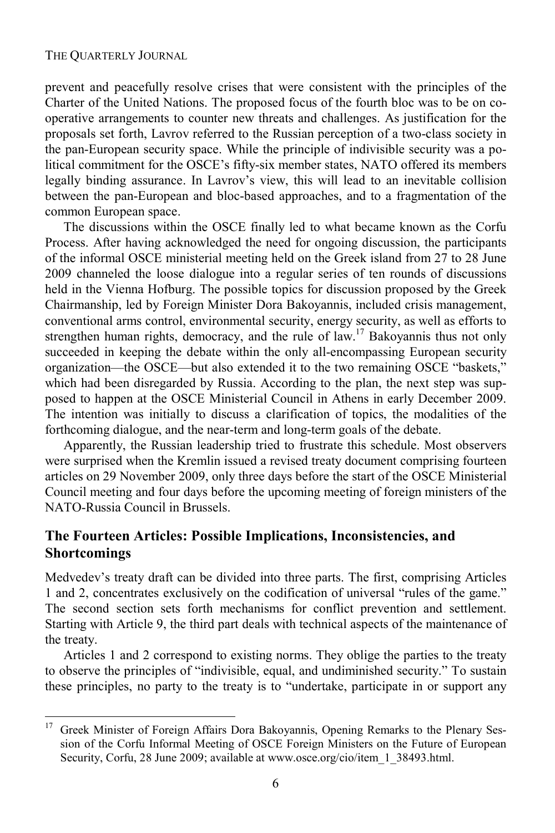$\overline{a}$ 

prevent and peacefully resolve crises that were consistent with the principles of the Charter of the United Nations. The proposed focus of the fourth bloc was to be on cooperative arrangements to counter new threats and challenges. As justification for the proposals set forth, Lavrov referred to the Russian perception of a two-class society in the pan-European security space. While the principle of indivisible security was a political commitment for the OSCE's fifty-six member states, NATO offered its members legally binding assurance. In Lavrov's view, this will lead to an inevitable collision between the pan-European and bloc-based approaches, and to a fragmentation of the common European space.

The discussions within the OSCE finally led to what became known as the Corfu Process. After having acknowledged the need for ongoing discussion, the participants of the informal OSCE ministerial meeting held on the Greek island from 27 to 28 June 2009 channeled the loose dialogue into a regular series of ten rounds of discussions held in the Vienna Hofburg. The possible topics for discussion proposed by the Greek Chairmanship, led by Foreign Minister Dora Bakoyannis, included crisis management, conventional arms control, environmental security, energy security, as well as efforts to strengthen human rights, democracy, and the rule of law.<sup>17</sup> Bakoyannis thus not only succeeded in keeping the debate within the only all-encompassing European security organization—the OSCE—but also extended it to the two remaining OSCE "baskets," which had been disregarded by Russia. According to the plan, the next step was supposed to happen at the OSCE Ministerial Council in Athens in early December 2009. The intention was initially to discuss a clarification of topics, the modalities of the forthcoming dialogue, and the near-term and long-term goals of the debate.

Apparently, the Russian leadership tried to frustrate this schedule. Most observers were surprised when the Kremlin issued a revised treaty document comprising fourteen articles on 29 November 2009, only three days before the start of the OSCE Ministerial Council meeting and four days before the upcoming meeting of foreign ministers of the NATO-Russia Council in Brussels.

### **The Fourteen Articles: Possible Implications, Inconsistencies, and Shortcomings**

Medvedev's treaty draft can be divided into three parts. The first, comprising Articles 1 and 2, concentrates exclusively on the codification of universal "rules of the game." The second section sets forth mechanisms for conflict prevention and settlement. Starting with Article 9, the third part deals with technical aspects of the maintenance of the treaty.

Articles 1 and 2 correspond to existing norms. They oblige the parties to the treaty to observe the principles of "indivisible, equal, and undiminished security." To sustain these principles, no party to the treaty is to "undertake, participate in or support any

<sup>&</sup>lt;sup>17</sup> Greek Minister of Foreign Affairs Dora Bakoyannis, Opening Remarks to the Plenary Session of the Corfu Informal Meeting of OSCE Foreign Ministers on the Future of European Security, Corfu, 28 June 2009; available at www.osce.org/cio/item\_1\_38493.html.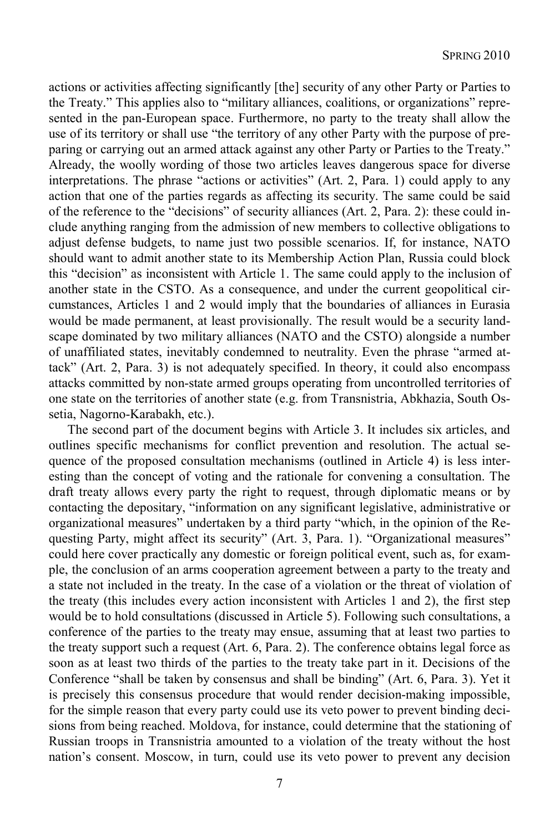actions or activities affecting significantly [the] security of any other Party or Parties to the Treaty." This applies also to "military alliances, coalitions, or organizations" represented in the pan-European space. Furthermore, no party to the treaty shall allow the use of its territory or shall use "the territory of any other Party with the purpose of preparing or carrying out an armed attack against any other Party or Parties to the Treaty." Already, the woolly wording of those two articles leaves dangerous space for diverse interpretations. The phrase "actions or activities" (Art. 2, Para. 1) could apply to any action that one of the parties regards as affecting its security. The same could be said of the reference to the "decisions" of security alliances (Art. 2, Para. 2): these could include anything ranging from the admission of new members to collective obligations to adjust defense budgets, to name just two possible scenarios. If, for instance, NATO should want to admit another state to its Membership Action Plan, Russia could block this "decision" as inconsistent with Article 1. The same could apply to the inclusion of another state in the CSTO. As a consequence, and under the current geopolitical circumstances, Articles 1 and 2 would imply that the boundaries of alliances in Eurasia would be made permanent, at least provisionally. The result would be a security landscape dominated by two military alliances (NATO and the CSTO) alongside a number of unaffiliated states, inevitably condemned to neutrality. Even the phrase "armed attack" (Art. 2, Para. 3) is not adequately specified. In theory, it could also encompass attacks committed by non-state armed groups operating from uncontrolled territories of one state on the territories of another state (e.g. from Transnistria, Abkhazia, South Ossetia, Nagorno-Karabakh, etc.).

The second part of the document begins with Article 3. It includes six articles, and outlines specific mechanisms for conflict prevention and resolution. The actual sequence of the proposed consultation mechanisms (outlined in Article 4) is less interesting than the concept of voting and the rationale for convening a consultation. The draft treaty allows every party the right to request, through diplomatic means or by contacting the depositary, "information on any significant legislative, administrative or organizational measures" undertaken by a third party "which, in the opinion of the Requesting Party, might affect its security" (Art. 3, Para. 1). "Organizational measures" could here cover practically any domestic or foreign political event, such as, for example, the conclusion of an arms cooperation agreement between a party to the treaty and a state not included in the treaty. In the case of a violation or the threat of violation of the treaty (this includes every action inconsistent with Articles 1 and 2), the first step would be to hold consultations (discussed in Article 5). Following such consultations, a conference of the parties to the treaty may ensue, assuming that at least two parties to the treaty support such a request (Art. 6, Para. 2). The conference obtains legal force as soon as at least two thirds of the parties to the treaty take part in it. Decisions of the Conference "shall be taken by consensus and shall be binding" (Art. 6, Para. 3). Yet it is precisely this consensus procedure that would render decision-making impossible, for the simple reason that every party could use its veto power to prevent binding decisions from being reached. Moldova, for instance, could determine that the stationing of Russian troops in Transnistria amounted to a violation of the treaty without the host nation's consent. Moscow, in turn, could use its veto power to prevent any decision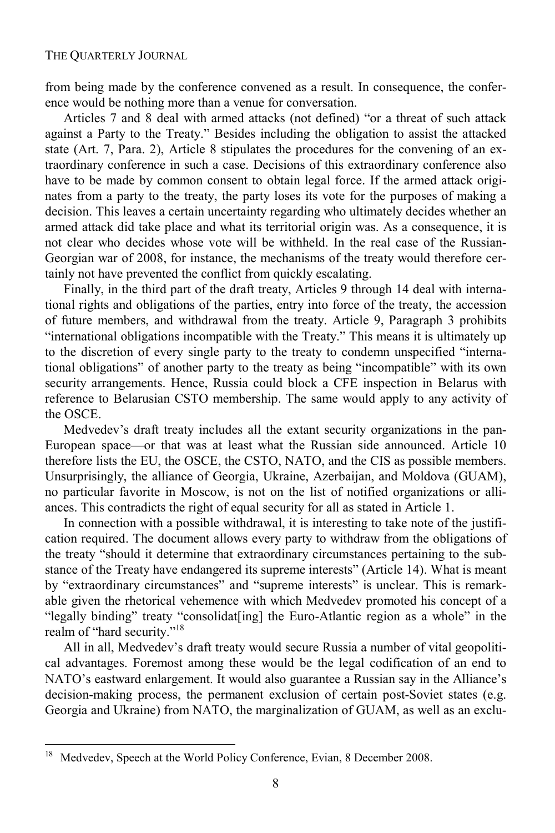from being made by the conference convened as a result. In consequence, the conference would be nothing more than a venue for conversation.

Articles 7 and 8 deal with armed attacks (not defined) "or a threat of such attack against a Party to the Treaty." Besides including the obligation to assist the attacked state (Art. 7, Para. 2), Article 8 stipulates the procedures for the convening of an extraordinary conference in such a case. Decisions of this extraordinary conference also have to be made by common consent to obtain legal force. If the armed attack originates from a party to the treaty, the party loses its vote for the purposes of making a decision. This leaves a certain uncertainty regarding who ultimately decides whether an armed attack did take place and what its territorial origin was. As a consequence, it is not clear who decides whose vote will be withheld. In the real case of the Russian-Georgian war of 2008, for instance, the mechanisms of the treaty would therefore certainly not have prevented the conflict from quickly escalating.

Finally, in the third part of the draft treaty, Articles 9 through 14 deal with international rights and obligations of the parties, entry into force of the treaty, the accession of future members, and withdrawal from the treaty. Article 9, Paragraph 3 prohibits "international obligations incompatible with the Treaty." This means it is ultimately up to the discretion of every single party to the treaty to condemn unspecified "international obligations" of another party to the treaty as being "incompatible" with its own security arrangements. Hence, Russia could block a CFE inspection in Belarus with reference to Belarusian CSTO membership. The same would apply to any activity of the OSCE.

Medvedev's draft treaty includes all the extant security organizations in the pan-European space—or that was at least what the Russian side announced. Article 10 therefore lists the EU, the OSCE, the CSTO, NATO, and the CIS as possible members. Unsurprisingly, the alliance of Georgia, Ukraine, Azerbaijan, and Moldova (GUAM), no particular favorite in Moscow, is not on the list of notified organizations or alliances. This contradicts the right of equal security for all as stated in Article 1.

In connection with a possible withdrawal, it is interesting to take note of the justification required. The document allows every party to withdraw from the obligations of the treaty "should it determine that extraordinary circumstances pertaining to the substance of the Treaty have endangered its supreme interests" (Article 14). What is meant by "extraordinary circumstances" and "supreme interests" is unclear. This is remarkable given the rhetorical vehemence with which Medvedev promoted his concept of a "legally binding" treaty "consolidat[ing] the Euro-Atlantic region as a whole" in the realm of "hard security."<sup>18</sup>

All in all, Medvedev's draft treaty would secure Russia a number of vital geopolitical advantages. Foremost among these would be the legal codification of an end to NATO's eastward enlargement. It would also guarantee a Russian say in the Alliance's decision-making process, the permanent exclusion of certain post-Soviet states (e.g. Georgia and Ukraine) from NATO, the marginalization of GUAM, as well as an exclu-

 $\overline{a}$ 

<sup>18</sup> Medvedev, Speech at the World Policy Conference, Evian, 8 December 2008.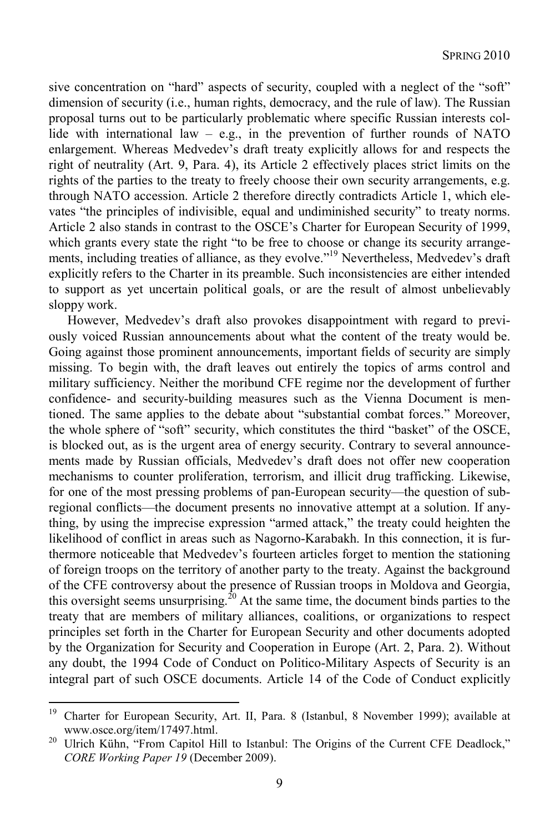sive concentration on "hard" aspects of security, coupled with a neglect of the "soft" dimension of security (i.e., human rights, democracy, and the rule of law). The Russian proposal turns out to be particularly problematic where specific Russian interests collide with international law  $-$  e.g., in the prevention of further rounds of NATO enlargement. Whereas Medvedev's draft treaty explicitly allows for and respects the right of neutrality (Art. 9, Para. 4), its Article 2 effectively places strict limits on the rights of the parties to the treaty to freely choose their own security arrangements, e.g. through NATO accession. Article 2 therefore directly contradicts Article 1, which elevates "the principles of indivisible, equal and undiminished security" to treaty norms. Article 2 also stands in contrast to the OSCE's Charter for European Security of 1999, which grants every state the right "to be free to choose or change its security arrangements, including treaties of alliance, as they evolve."19 Nevertheless, Medvedev's draft explicitly refers to the Charter in its preamble. Such inconsistencies are either intended to support as yet uncertain political goals, or are the result of almost unbelievably sloppy work.

However, Medvedev's draft also provokes disappointment with regard to previously voiced Russian announcements about what the content of the treaty would be. Going against those prominent announcements, important fields of security are simply missing. To begin with, the draft leaves out entirely the topics of arms control and military sufficiency. Neither the moribund CFE regime nor the development of further confidence- and security-building measures such as the Vienna Document is mentioned. The same applies to the debate about "substantial combat forces." Moreover, the whole sphere of "soft" security, which constitutes the third "basket" of the OSCE, is blocked out, as is the urgent area of energy security. Contrary to several announcements made by Russian officials, Medvedev's draft does not offer new cooperation mechanisms to counter proliferation, terrorism, and illicit drug trafficking. Likewise, for one of the most pressing problems of pan-European security—the question of subregional conflicts—the document presents no innovative attempt at a solution. If anything, by using the imprecise expression "armed attack," the treaty could heighten the likelihood of conflict in areas such as Nagorno-Karabakh. In this connection, it is furthermore noticeable that Medvedev's fourteen articles forget to mention the stationing of foreign troops on the territory of another party to the treaty. Against the background of the CFE controversy about the presence of Russian troops in Moldova and Georgia, this oversight seems unsurprising.<sup>20</sup> At the same time, the document binds parties to the treaty that are members of military alliances, coalitions, or organizations to respect principles set forth in the Charter for European Security and other documents adopted by the Organization for Security and Cooperation in Europe (Art. 2, Para. 2). Without any doubt, the 1994 Code of Conduct on Politico-Military Aspects of Security is an integral part of such OSCE documents. Article 14 of the Code of Conduct explicitly

<sup>19</sup> 19 Charter for European Security, Art. II, Para. 8 (Istanbul, 8 November 1999); available at www.osce.org/item/17497.html.<br><sup>20</sup> Ulrich Kühn, "From Capitol Hill to Istanbul: The Origins of the Current CFE Deadlock,"

*CORE Working Paper 19* (December 2009).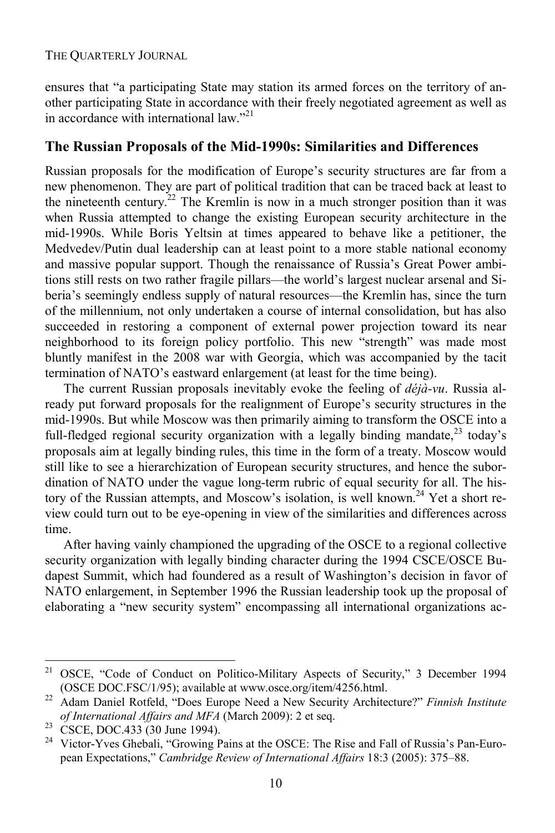ensures that "a participating State may station its armed forces on the territory of another participating State in accordance with their freely negotiated agreement as well as in accordance with international law. $"^{21}$ 

### **The Russian Proposals of the Mid-1990s: Similarities and Differences**

Russian proposals for the modification of Europe's security structures are far from a new phenomenon. They are part of political tradition that can be traced back at least to the nineteenth century.<sup>22</sup> The Kremlin is now in a much stronger position than it was when Russia attempted to change the existing European security architecture in the mid-1990s. While Boris Yeltsin at times appeared to behave like a petitioner, the Medvedev/Putin dual leadership can at least point to a more stable national economy and massive popular support. Though the renaissance of Russia's Great Power ambitions still rests on two rather fragile pillars—the world's largest nuclear arsenal and Siberia's seemingly endless supply of natural resources—the Kremlin has, since the turn of the millennium, not only undertaken a course of internal consolidation, but has also succeeded in restoring a component of external power projection toward its near neighborhood to its foreign policy portfolio. This new "strength" was made most bluntly manifest in the 2008 war with Georgia, which was accompanied by the tacit termination of NATO's eastward enlargement (at least for the time being).

The current Russian proposals inevitably evoke the feeling of *déjà-vu*. Russia already put forward proposals for the realignment of Europe's security structures in the mid-1990s. But while Moscow was then primarily aiming to transform the OSCE into a full-fledged regional security organization with a legally binding mandate,  $^{23}$  today's proposals aim at legally binding rules, this time in the form of a treaty. Moscow would still like to see a hierarchization of European security structures, and hence the subordination of NATO under the vague long-term rubric of equal security for all. The history of the Russian attempts, and Moscow's isolation, is well known.<sup>24</sup> Yet a short review could turn out to be eye-opening in view of the similarities and differences across time.

After having vainly championed the upgrading of the OSCE to a regional collective security organization with legally binding character during the 1994 CSCE/OSCE Budapest Summit, which had foundered as a result of Washington's decision in favor of NATO enlargement, in September 1996 the Russian leadership took up the proposal of elaborating a "new security system" encompassing all international organizations ac-

l

<sup>21</sup> OSCE, "Code of Conduct on Politico-Military Aspects of Security," 3 December 1994 (OSCE DOC.FSC/1/95); available at www.osce.org/item/4256.html. 22 Adam Daniel Rotfeld, "Does Europe Need a New Security Architecture?" *Finnish Institute* 

*of International Affairs and MFA* (March 2009): 2 et seq. <sup>23</sup> CSCE, DOC.433 (30 June 1994).

<sup>&</sup>lt;sup>24</sup> Victor-Yves Ghebali, "Growing Pains at the OSCE: The Rise and Fall of Russia's Pan-European Expectations," *Cambridge Review of International Affairs* 18:3 (2005): 375–88.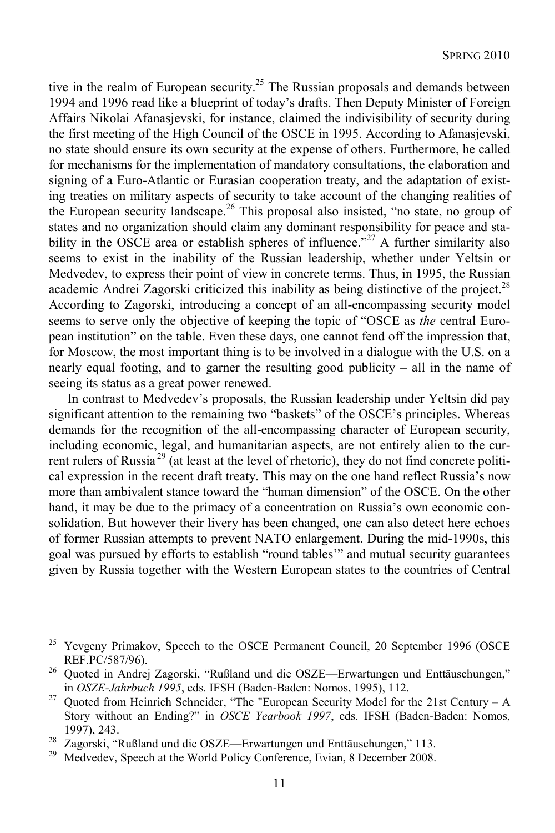tive in the realm of European security.<sup>25</sup> The Russian proposals and demands between 1994 and 1996 read like a blueprint of today's drafts. Then Deputy Minister of Foreign Affairs Nikolai Afanasjevski, for instance, claimed the indivisibility of security during the first meeting of the High Council of the OSCE in 1995. According to Afanasjevski, no state should ensure its own security at the expense of others. Furthermore, he called for mechanisms for the implementation of mandatory consultations, the elaboration and signing of a Euro-Atlantic or Eurasian cooperation treaty, and the adaptation of existing treaties on military aspects of security to take account of the changing realities of the European security landscape.26 This proposal also insisted, "no state, no group of states and no organization should claim any dominant responsibility for peace and stability in the OSCE area or establish spheres of influence."<sup>27</sup> A further similarity also seems to exist in the inability of the Russian leadership, whether under Yeltsin or Medvedev, to express their point of view in concrete terms. Thus, in 1995, the Russian academic Andrei Zagorski criticized this inability as being distinctive of the project.<sup>28</sup> According to Zagorski, introducing a concept of an all-encompassing security model seems to serve only the objective of keeping the topic of "OSCE as *the* central European institution" on the table. Even these days, one cannot fend off the impression that, for Moscow, the most important thing is to be involved in a dialogue with the U.S. on a nearly equal footing, and to garner the resulting good publicity – all in the name of seeing its status as a great power renewed.

In contrast to Medvedev's proposals, the Russian leadership under Yeltsin did pay significant attention to the remaining two "baskets" of the OSCE's principles. Whereas demands for the recognition of the all-encompassing character of European security, including economic, legal, and humanitarian aspects, are not entirely alien to the current rulers of Russia<sup>29</sup> (at least at the level of rhetoric), they do not find concrete political expression in the recent draft treaty. This may on the one hand reflect Russia's now more than ambivalent stance toward the "human dimension" of the OSCE. On the other hand, it may be due to the primacy of a concentration on Russia's own economic consolidation. But however their livery has been changed, one can also detect here echoes of former Russian attempts to prevent NATO enlargement. During the mid-1990s, this goal was pursued by efforts to establish "round tables'" and mutual security guarantees given by Russia together with the Western European states to the countries of Central

l

<sup>&</sup>lt;sup>25</sup> Yevgeny Primakov, Speech to the OSCE Permanent Council, 20 September 1996 (OSCE

REF.PC/587/96). <br><sup>26</sup> Quoted in Andrej Zagorski, "Rußland und die OSZE—Erwartungen und Enttäuschungen," in *OSZE-Jahrbuch 1995*, eds. IFSH (Baden-Baden: Nomos, 1995), 112.<br><sup>27</sup> Quoted from Heinrich Schneider, "The "European Security Model for the 21st Century – A

Story without an Ending?" in *OSCE Yearbook 1997*, eds. IFSH (Baden-Baden: Nomos,

<sup>1997), 243.&</sup>lt;br><sup>28</sup> Zagorski, "Rußland und die OSZE—Erwartungen und Enttäuschungen," 113.<br><sup>29</sup> Medvedev, Speech at the World Policy Conference, Evian, 8 December 2008.

Medvedev, Speech at the World Policy Conference, Evian, 8 December 2008.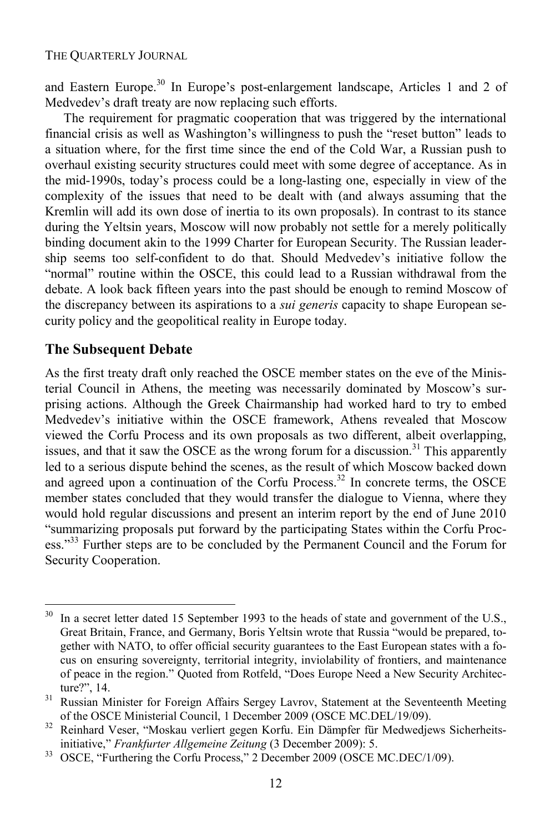and Eastern Europe.<sup>30</sup> In Europe's post-enlargement landscape, Articles 1 and 2 of Medvedev's draft treaty are now replacing such efforts.

The requirement for pragmatic cooperation that was triggered by the international financial crisis as well as Washington's willingness to push the "reset button" leads to a situation where, for the first time since the end of the Cold War, a Russian push to overhaul existing security structures could meet with some degree of acceptance. As in the mid-1990s, today's process could be a long-lasting one, especially in view of the complexity of the issues that need to be dealt with (and always assuming that the Kremlin will add its own dose of inertia to its own proposals). In contrast to its stance during the Yeltsin years, Moscow will now probably not settle for a merely politically binding document akin to the 1999 Charter for European Security. The Russian leadership seems too self-confident to do that. Should Medvedev's initiative follow the "normal" routine within the OSCE, this could lead to a Russian withdrawal from the debate. A look back fifteen years into the past should be enough to remind Moscow of the discrepancy between its aspirations to a *sui generis* capacity to shape European security policy and the geopolitical reality in Europe today.

### **The Subsequent Debate**

 $\overline{a}$ 

As the first treaty draft only reached the OSCE member states on the eve of the Ministerial Council in Athens, the meeting was necessarily dominated by Moscow's surprising actions. Although the Greek Chairmanship had worked hard to try to embed Medvedev's initiative within the OSCE framework, Athens revealed that Moscow viewed the Corfu Process and its own proposals as two different, albeit overlapping, issues, and that it saw the OSCE as the wrong forum for a discussion.<sup>31</sup> This apparently led to a serious dispute behind the scenes, as the result of which Moscow backed down and agreed upon a continuation of the Corfu Process.<sup>32</sup> In concrete terms, the OSCE member states concluded that they would transfer the dialogue to Vienna, where they would hold regular discussions and present an interim report by the end of June 2010 "summarizing proposals put forward by the participating States within the Corfu Process."<sup>33</sup> Further steps are to be concluded by the Permanent Council and the Forum for Security Cooperation.

<sup>&</sup>lt;sup>30</sup> In a secret letter dated 15 September 1993 to the heads of state and government of the U.S., Great Britain, France, and Germany, Boris Yeltsin wrote that Russia "would be prepared, together with NATO, to offer official security guarantees to the East European states with a focus on ensuring sovereignty, territorial integrity, inviolability of frontiers, and maintenance of peace in the region." Quoted from Rotfeld, "Does Europe Need a New Security Architecture?", 14. 31 Russian Minister for Foreign Affairs Sergey Lavrov, Statement at the Seventeenth Meeting

of the OSCE Ministerial Council, 1 December 2009 (OSCE MC.DEL/19/09). 32 Reinhard Veser, "Moskau verliert gegen Korfu. Ein Dämpfer für Medwedjews Sicherheits-

initiative," *Frankfurter Allgemeine Zeitung* (3 December 2009): 5.<br><sup>33</sup> OSCE, "Furthering the Corfu Process," 2 December 2009 (OSCE MC.DEC/1/09).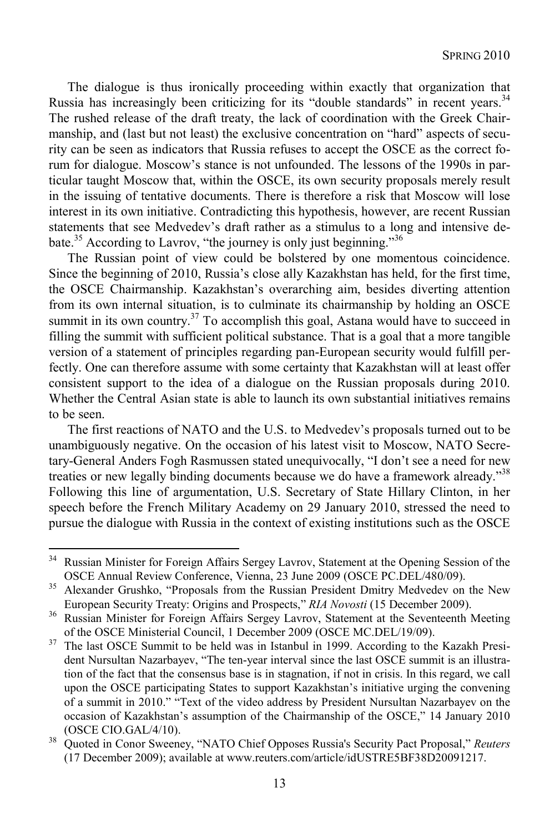The dialogue is thus ironically proceeding within exactly that organization that Russia has increasingly been criticizing for its "double standards" in recent years.<sup>34</sup> The rushed release of the draft treaty, the lack of coordination with the Greek Chairmanship, and (last but not least) the exclusive concentration on "hard" aspects of security can be seen as indicators that Russia refuses to accept the OSCE as the correct forum for dialogue. Moscow's stance is not unfounded. The lessons of the 1990s in particular taught Moscow that, within the OSCE, its own security proposals merely result in the issuing of tentative documents. There is therefore a risk that Moscow will lose interest in its own initiative. Contradicting this hypothesis, however, are recent Russian statements that see Medvedev's draft rather as a stimulus to a long and intensive debate.35 According to Lavrov, "the journey is only just beginning."36

The Russian point of view could be bolstered by one momentous coincidence. Since the beginning of 2010, Russia's close ally Kazakhstan has held, for the first time, the OSCE Chairmanship. Kazakhstan's overarching aim, besides diverting attention from its own internal situation, is to culminate its chairmanship by holding an OSCE summit in its own country.<sup>37</sup> To accomplish this goal, Astana would have to succeed in filling the summit with sufficient political substance. That is a goal that a more tangible version of a statement of principles regarding pan-European security would fulfill perfectly. One can therefore assume with some certainty that Kazakhstan will at least offer consistent support to the idea of a dialogue on the Russian proposals during 2010. Whether the Central Asian state is able to launch its own substantial initiatives remains to be seen.

The first reactions of NATO and the U.S. to Medvedev's proposals turned out to be unambiguously negative. On the occasion of his latest visit to Moscow, NATO Secretary-General Anders Fogh Rasmussen stated unequivocally, "I don't see a need for new treaties or new legally binding documents because we do have a framework already."38 Following this line of argumentation, U.S. Secretary of State Hillary Clinton, in her speech before the French Military Academy on 29 January 2010, stressed the need to pursue the dialogue with Russia in the context of existing institutions such as the OSCE

 $\overline{\phantom{a}}$ 

<sup>&</sup>lt;sup>34</sup> Russian Minister for Foreign Affairs Sergey Lavrov, Statement at the Opening Session of the

OSCE Annual Review Conference, Vienna, 23 June 2009 (OSCE PC.DEL/480/09).<br>
<sup>35</sup> Alexander Grushko, "Proposals from the Russian President Dmitry Medvedev on the New<br>
European Security Treaty: Origins and Prospects," *RIA No* 

<sup>&</sup>lt;sup>36</sup> Russian Minister for Foreign Affairs Sergey Lavrov, Statement at the Seventeenth Meeting

of the OSCE Ministerial Council, 1 December 2009 (OSCE MC.DEL/19/09). 37 The last OSCE Summit to be held was in Istanbul in 1999. According to the Kazakh President Nursultan Nazarbayev, "The ten-year interval since the last OSCE summit is an illustration of the fact that the consensus base is in stagnation, if not in crisis. In this regard, we call upon the OSCE participating States to support Kazakhstan's initiative urging the convening of a summit in 2010." "Text of the video address by President Nursultan Nazarbayev on the occasion of Kazakhstan's assumption of the Chairmanship of the OSCE," 14 January 2010 (OSCE CIO.GAL/4/10). 38 Quoted in Conor Sweeney, "NATO Chief Opposes Russia's Security Pact Proposal," *Reuters*

<sup>(17</sup> December 2009); available at www.reuters.com/article/idUSTRE5BF38D20091217.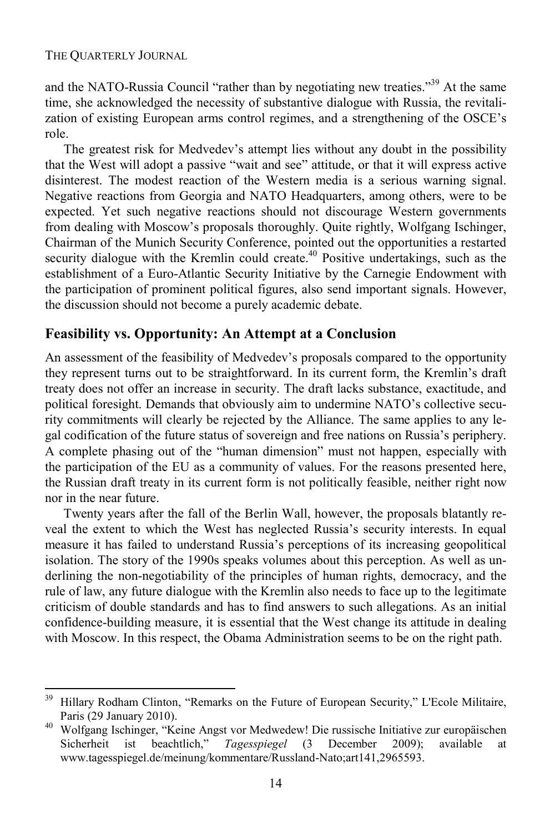l

and the NATO-Russia Council "rather than by negotiating new treaties."39 At the same time, she acknowledged the necessity of substantive dialogue with Russia, the revitalization of existing European arms control regimes, and a strengthening of the OSCE's role.

The greatest risk for Medvedev's attempt lies without any doubt in the possibility that the West will adopt a passive "wait and see" attitude, or that it will express active disinterest. The modest reaction of the Western media is a serious warning signal. Negative reactions from Georgia and NATO Headquarters, among others, were to be expected. Yet such negative reactions should not discourage Western governments from dealing with Moscow's proposals thoroughly. Quite rightly, Wolfgang Ischinger, Chairman of the Munich Security Conference, pointed out the opportunities a restarted security dialogue with the Kremlin could create.<sup>40</sup> Positive undertakings, such as the establishment of a Euro-Atlantic Security Initiative by the Carnegie Endowment with the participation of prominent political figures, also send important signals. However, the discussion should not become a purely academic debate.

### **Feasibility vs. Opportunity: An Attempt at a Conclusion**

An assessment of the feasibility of Medvedev's proposals compared to the opportunity they represent turns out to be straightforward. In its current form, the Kremlin's draft treaty does not offer an increase in security. The draft lacks substance, exactitude, and political foresight. Demands that obviously aim to undermine NATO's collective security commitments will clearly be rejected by the Alliance. The same applies to any legal codification of the future status of sovereign and free nations on Russia's periphery. A complete phasing out of the "human dimension" must not happen, especially with the participation of the EU as a community of values. For the reasons presented here, the Russian draft treaty in its current form is not politically feasible, neither right now nor in the near future.

Twenty years after the fall of the Berlin Wall, however, the proposals blatantly reveal the extent to which the West has neglected Russia's security interests. In equal measure it has failed to understand Russia's perceptions of its increasing geopolitical isolation. The story of the 1990s speaks volumes about this perception. As well as underlining the non-negotiability of the principles of human rights, democracy, and the rule of law, any future dialogue with the Kremlin also needs to face up to the legitimate criticism of double standards and has to find answers to such allegations. As an initial confidence-building measure, it is essential that the West change its attitude in dealing with Moscow. In this respect, the Obama Administration seems to be on the right path.

<sup>&</sup>lt;sup>39</sup> Hillary Rodham Clinton, "Remarks on the Future of European Security," L'Ecole Militaire, Paris (29 January 2010). 40 Wolfgang Ischinger, "Keine Angst vor Medwedew! Die russische Initiative zur europäischen

Sicherheit ist beachtlich," *Tagesspiegel* (3 December 2009); available at www.tagesspiegel.de/meinung/kommentare/Russland-Nato;art141,2965593.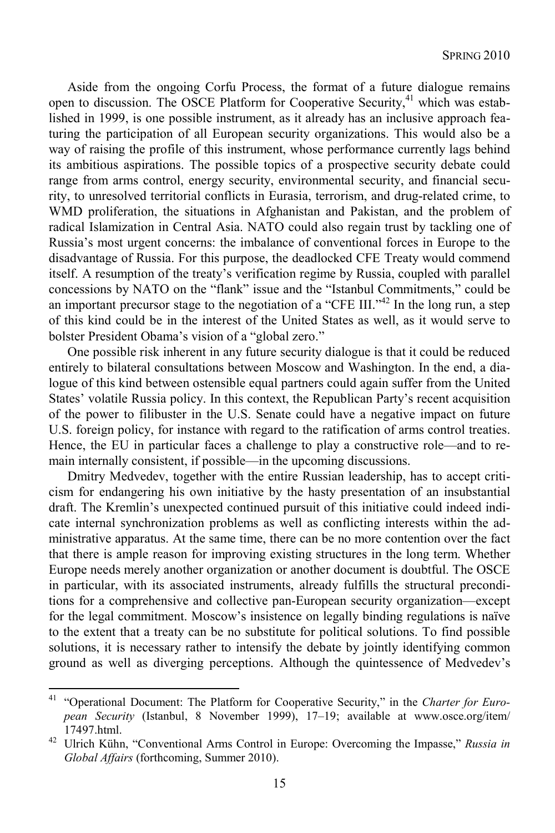Aside from the ongoing Corfu Process, the format of a future dialogue remains open to discussion. The OSCE Platform for Cooperative Security, $41$  which was established in 1999, is one possible instrument, as it already has an inclusive approach featuring the participation of all European security organizations. This would also be a way of raising the profile of this instrument, whose performance currently lags behind its ambitious aspirations. The possible topics of a prospective security debate could range from arms control, energy security, environmental security, and financial security, to unresolved territorial conflicts in Eurasia, terrorism, and drug-related crime, to WMD proliferation, the situations in Afghanistan and Pakistan, and the problem of radical Islamization in Central Asia. NATO could also regain trust by tackling one of Russia's most urgent concerns: the imbalance of conventional forces in Europe to the disadvantage of Russia. For this purpose, the deadlocked CFE Treaty would commend itself. A resumption of the treaty's verification regime by Russia, coupled with parallel concessions by NATO on the "flank" issue and the "Istanbul Commitments," could be an important precursor stage to the negotiation of a "CFE III."<sup>42</sup> In the long run, a step of this kind could be in the interest of the United States as well, as it would serve to bolster President Obama's vision of a "global zero."

One possible risk inherent in any future security dialogue is that it could be reduced entirely to bilateral consultations between Moscow and Washington. In the end, a dialogue of this kind between ostensible equal partners could again suffer from the United States' volatile Russia policy. In this context, the Republican Party's recent acquisition of the power to filibuster in the U.S. Senate could have a negative impact on future U.S. foreign policy, for instance with regard to the ratification of arms control treaties. Hence, the EU in particular faces a challenge to play a constructive role—and to remain internally consistent, if possible—in the upcoming discussions.

Dmitry Medvedev, together with the entire Russian leadership, has to accept criticism for endangering his own initiative by the hasty presentation of an insubstantial draft. The Kremlin's unexpected continued pursuit of this initiative could indeed indicate internal synchronization problems as well as conflicting interests within the administrative apparatus. At the same time, there can be no more contention over the fact that there is ample reason for improving existing structures in the long term. Whether Europe needs merely another organization or another document is doubtful. The OSCE in particular, with its associated instruments, already fulfills the structural preconditions for a comprehensive and collective pan-European security organization—except for the legal commitment. Moscow's insistence on legally binding regulations is naïve to the extent that a treaty can be no substitute for political solutions. To find possible solutions, it is necessary rather to intensify the debate by jointly identifying common ground as well as diverging perceptions. Although the quintessence of Medvedev's

 $\overline{\phantom{a}}$ 

<sup>41 &</sup>quot;Operational Document: The Platform for Cooperative Security," in the *Charter for European Security* (Istanbul, 8 November 1999), 17–19; available at www.osce.org/item/ 17497.html. 42 Ulrich Kühn, "Conventional Arms Control in Europe: Overcoming the Impasse," *Russia in* 

*Global Affairs* (forthcoming, Summer 2010).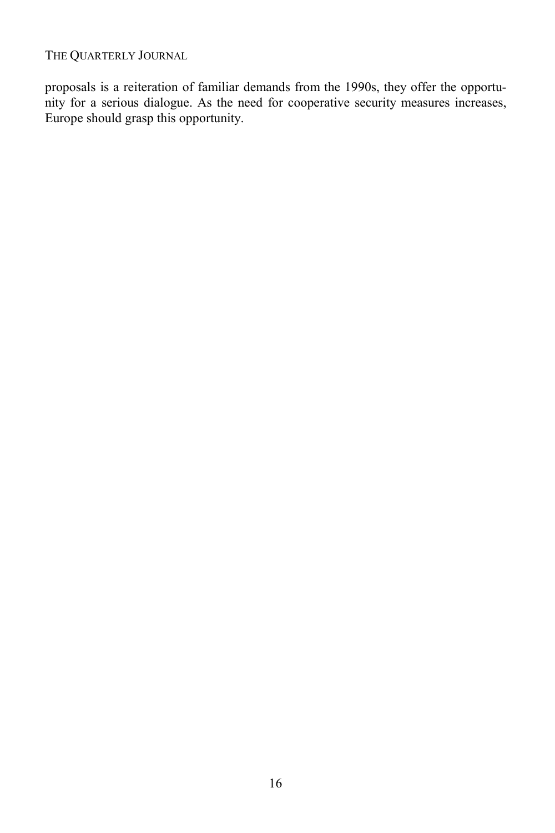proposals is a reiteration of familiar demands from the 1990s, they offer the opportunity for a serious dialogue. As the need for cooperative security measures increases, Europe should grasp this opportunity.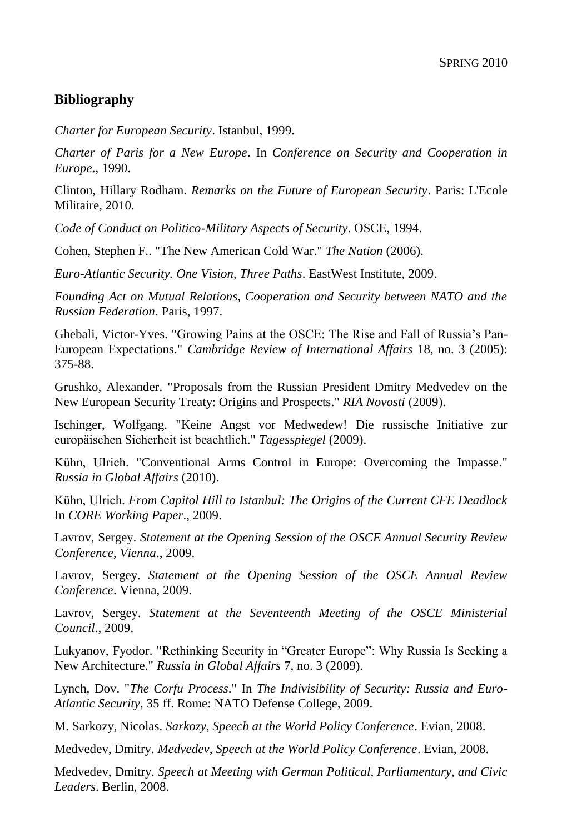### **Bibliography**

*[Charter for European Security](http://www.osce.org/mc/17502)*. Istanbul, 1999.

*[Charter of Paris for a New Europe](http://www.ena.lu/charter-paris-new-europe-paris-21-november-1990-020302522.html.)*. In *Conference on Security and Cooperation in Europe*., 1990.

[Clinton, Hillary Rodham.](http://connections-qj.org/biblio?f%5bauthor%5d=6209) *[Remarks on the Future of European Security](http://connections-qj.org/node/7610)*. Paris: L'Ecole Militaire, 2010.

*[Code of Conduct on Politico-Military Aspects of Security](http://www.osce.org/fsc/41355)*. OSCE, 1994.

[Cohen, Stephen F..](http://connections-qj.org/biblio?f%5bauthor%5d=7391) ["The New American Cold War."](http://connections-qj.org/node/7586) *The Nation* (2006).

*[Euro-Atlantic Security. One Vision, Three Paths](http://connections-qj.org/node/7585)*. EastWest Institute, 2009.

*[Founding Act on Mutual Relations, Cooperation and Security between NATO and the](http://www.nato.int/cps/en/natolive/official_texts_25468.htm)  [Russian Federation](http://www.nato.int/cps/en/natolive/official_texts_25468.htm)*. Paris, 1997.

[Ghebali, Victor-Yves.](http://connections-qj.org/biblio?f%5bauthor%5d=7395) ["Growing Pains at the OSCE: The Rise and Fall of Russia's Pan-](http://connections-qj.org/node/7601)[European Expectations.](http://connections-qj.org/node/7601)" *Cambridge Review of International Affairs* 18, no. 3 (2005): 375-88.

[Grushko, Alexander.](http://connections-qj.org/biblio?f%5bauthor%5d=7399) ["Proposals from the Russian President Dmitry Medvedev on the](http://connections-qj.org/node/7607)  [New European Security Treaty: Origins and Prospects.](http://connections-qj.org/node/7607)" *RIA Novosti* (2009).

[Ischinger, Wolfgang.](http://connections-qj.org/biblio?f%5bauthor%5d=7401) ["Keine Angst vor Medwedew! Die russische Initiative zur](http://www.tagesspiegel.de/meinung/kommentare/Russland-Nato;art141,2965593)  [europäischen Sicherheit ist beachtlich."](http://www.tagesspiegel.de/meinung/kommentare/Russland-Nato;art141,2965593) *Tagesspiegel* (2009).

[Kühn, Ulrich.](http://connections-qj.org/biblio?f%5bauthor%5d=485) ["Conventional Arms Control in Europe: Overcoming the Impasse."](http://connections-qj.org/node/7613) *Russia in Global Affairs* (2010).

[Kühn, Ulrich.](http://connections-qj.org/biblio?f%5bauthor%5d=485) *[From Capitol Hill to Istanbul: The Origins of the Current CFE Deadlock](http://connections-qj.org/node/7598)* In *CORE Working Paper*., 2009.

[Lavrov, Sergey.](http://connections-qj.org/biblio?f%5bauthor%5d=6954) *[Statement at the Opening Session of the OSCE Annual Security Review](http://connections-qj.org/node/7595)  [Conference, Vienna](http://connections-qj.org/node/7595)*., 2009.

[Lavrov, Sergey.](http://connections-qj.org/biblio?f%5bauthor%5d=6954) *[Statement at the Opening Session of the OSCE Annual Review](http://connections-qj.org/node/7606)  [Conference](http://connections-qj.org/node/7606)*. Vienna, 2009.

[Lavrov, Sergey.](http://connections-qj.org/biblio?f%5bauthor%5d=6954) *[Statement at the Seventeenth Meeting of the OSCE Ministerial](http://connections-qj.org/node/7608)  [Council](http://connections-qj.org/node/7608)*., 2009.

[Lukyanov, Fyodor.](http://connections-qj.org/biblio?f%5bauthor%5d=6608) ["Rethinking Security in "Greater Europe": Why Russia Is Seeking a](http://eng.globalaffairs.ru/numbers/28/1298.html)  [New Architecture."](http://eng.globalaffairs.ru/numbers/28/1298.html) *Russia in Global Affairs* 7, no. 3 (2009).

[Lynch, Dov.](http://connections-qj.org/biblio?f%5bauthor%5d=7114) "*[The Corfu Process](http://connections-qj.org/node/7594)*." In *The Indivisibility of Security: Russia and Euro-Atlantic Security*, 35 ff. Rome: NATO Defense College, 2009.

[M. Sarkozy, Nicolas.](http://connections-qj.org/biblio?f%5bauthor%5d=7393) *[Sarkozy, Speech at the World Policy Conference](http://www.ambafrance-uk.org/President-Sarkozy-s-World-Policy.html)*. Evian, 2008.

[Medvedev, Dmitry.](http://connections-qj.org/biblio?f%5bauthor%5d=6338) *[Medvedev, Speech at the World Policy Conference](http://archive.kremlin.ru/eng/speeches/2008/10/08/2159_type82912type82914_207457.shtml)*. Evian, 2008.

[Medvedev, Dmitry.](http://connections-qj.org/biblio?f%5bauthor%5d=6338) *[Speech at Meeting with German Political, Parliamentary, and Civic](http://www.mid.ru/brp_4.nsf/e78a48070f128a7b43256999005bcbb3/c080dc2ff8d93629c3257460003496c4)  [Leaders](http://www.mid.ru/brp_4.nsf/e78a48070f128a7b43256999005bcbb3/c080dc2ff8d93629c3257460003496c4)*. Berlin, 2008.